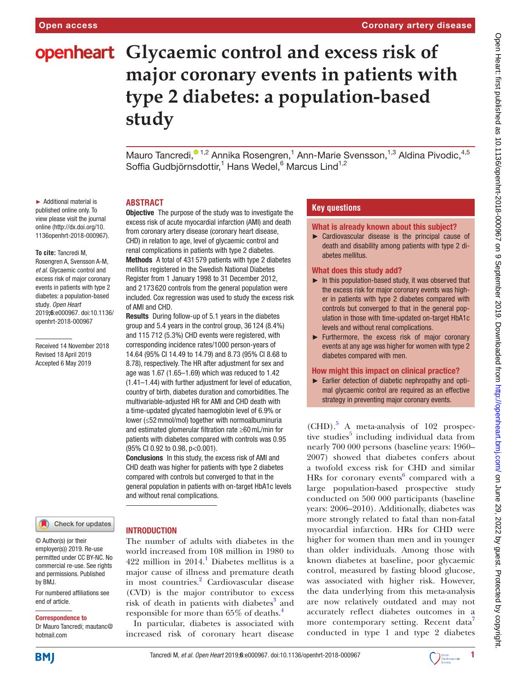# **openheart** Glycaemic control and excess risk of **major coronary events in patients with type 2 diabetes: a population-based study**

Mauro Tancredi, <sup>01,2</sup> Annika Rosengren,<sup>1</sup> Ann-Marie Svensson,<sup>1,3</sup> Aldina Pivodic,<sup>4,5</sup> Soffia Gudbjörnsdottir,<sup>1</sup> Hans Wedel,<sup>6</sup> Marcus Lind<sup>1,2</sup>

► Additional material is published online only. To view please visit the journal online [\(http://dx.doi.org/10.](http://dx.doi.org/10.1136openhrt-2018-000967) [1136openhrt-2018-000967\)](http://dx.doi.org/10.1136openhrt-2018-000967). **Abstract**

of AMI and CHD.

**Objective** The purpose of the study was to investigate the excess risk of acute myocardial infarction (AMI) and death from coronary artery disease (coronary heart disease, CHD) in relation to age, level of glycaemic control and renal complications in patients with type 2 diabetes. Methods A total of 431 579 patients with type 2 diabetes mellitus registered in the Swedish National Diabetes Register from 1 January 1998 to 31 December 2012, and 2 173 620 controls from the general population were included. Cox regression was used to study the excess risk

Results During follow-up of 5.1 years in the diabetes group and 5.4 years in the control group, 36 124 (8.4%) and 115 712 (5.3%) CHD events were registered, with corresponding incidence rates/1000 person-years of 14.64 (95% CI 14.49 to 14.79) and 8.73 (95% CI 8.68 to 8.78), respectively. The HR after adjustment for sex and age was 1.67 (1.65–1.69) which was reduced to 1.42 (1.41–1.44) with further adjustment for level of education, country of birth, diabetes duration and comorbidities. The multivariable-adjusted HR for AMI and CHD death with a time-updated glycated haemoglobin level of 6.9% or lower (≤52mmol/mol) together with normoalbuminuria and estimated glomerular filtration rate ≥60mL/min for patients with diabetes compared with controls was 0.95

Conclusions In this study, the excess risk of AMI and CHD death was higher for patients with type 2 diabetes compared with controls but converged to that in the general population in patients with on-target HbA1c levels

#### **To cite:** Tancredi M,

Rosengren A, Svensson A-M*, et al*. Glycaemic control and excess risk of major coronary events in patients with type 2 diabetes: a population-based study*. Open Heart* 2019;6:e000967. doi:10.1136/ openhrt-2018-000967

Received 14 November 2018 Revised 18 April 2019 Accepted 6 May 2019

# Check for updates

© Author(s) (or their employer(s)) 2019. Re-use permitted under CC BY-NC. No commercial re-use. See rights and permissions. Published by BMJ.

For numbered affiliations see end of article.

#### Correspondence to

Dr Mauro Tancredi; mautanc@ hotmail.com

# **INTRODUCTION**

(95% CI 0.92 to 0.98, p<0.001).

and without renal complications.

The number of adults with diabetes in the world increased from 108 million in 1980 to  $422$  million in  $2014$  $2014$  $2014$ .<sup>1</sup> Diabetes mellitus is a major cause of illness and premature death in most countries.<sup>2</sup> Cardiovascular disease (CVD) is the major contributor to excess risk of death in patients with diabetes<sup>[3](#page-8-2)</sup> and responsible for more than 65% of deaths.<sup>4</sup>

In particular, diabetes is associated with increased risk of coronary heart disease

### **Key questions**

#### What is already known about this subject?

► Cardiovascular disease is the principal cause of death and disability among patients with type 2 diabetes mellitus.

#### What does this study add?

- ► In this population-based study, it was observed that the excess risk for major coronary events was higher in patients with type 2 diabetes compared with controls but converged to that in the general population in those with time-updated on-target HbA1c levels and without renal complications.
- ► Furthermore, the excess risk of major coronary events at any age was higher for women with type 2 diabetes compared with men.

#### How might this impact on clinical practice?

► Earlier detection of diabetic nephropathy and optimal glycaemic control are required as an effective strategy in preventing major coronary events.

(CHD).[5](#page-8-4) A meta-analysis of 102 prospective studies<sup>5</sup> including individual data from nearly 700 000 persons (baseline years: 1960– 2007) showed that diabetes confers about a twofold excess risk for CHD and similar HRs for coronary events $6$  compared with a large population-based prospective study conducted on 500 000 participants (baseline years: 2006–2010). Additionally, diabetes was more strongly related to fatal than non-fatal myocardial infarction. HRs for CHD were higher for women than men and in younger than older individuals. Among those with known diabetes at baseline, poor glycaemic control, measured by fasting blood glucose, was associated with higher risk. However, the data underlying from this meta-analysis are now relatively outdated and may not accurately reflect diabetes outcomes in a more contemporary setting. Recent data<sup>7</sup> conducted in type 1 and type 2 diabetes

**BMJ** 

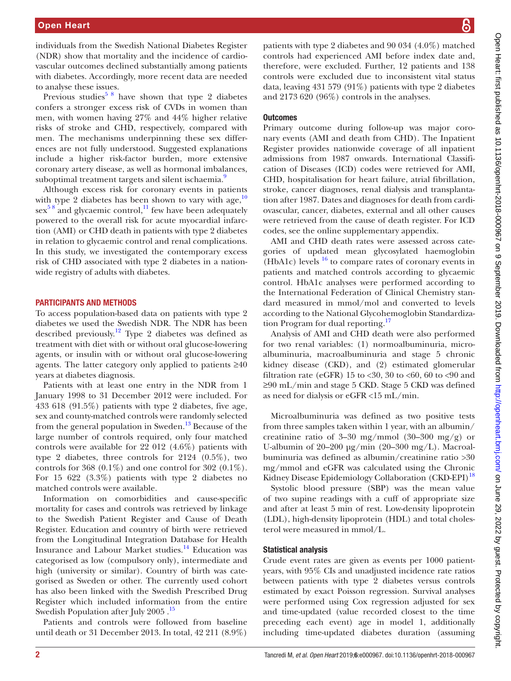individuals from the Swedish National Diabetes Register (NDR) show that mortality and the incidence of cardiovascular outcomes declined substantially among patients with diabetes. Accordingly, more recent data are needed to analyse these issues.

Previous studies<sup>58</sup> have shown that type 2 diabetes confers a stronger excess risk of CVDs in women than men, with women having 27% and 44% higher relative risks of stroke and CHD, respectively, compared with men. The mechanisms underpinning these sex differences are not fully understood. Suggested explanations include a higher risk-factor burden, more extensive coronary artery disease, as well as hormonal imbalances, suboptimal treatment targets and silent ischaemia.<sup>[9](#page-8-7)</sup>

Although excess risk for coronary events in patients with type 2 diabetes has been shown to vary with age,  $10^{\circ}$ sex<sup>58</sup> and glycaemic control,<sup>[11](#page-8-9)</sup> few have been adequately powered to the overall risk for acute myocardial infarction (AMI) or CHD death in patients with type 2 diabetes in relation to glycaemic control and renal complications. In this study, we investigated the contemporary excess risk of CHD associated with type 2 diabetes in a nationwide registry of adults with diabetes.

## Participants and methods

To access population-based data on patients with type 2 diabetes we used the Swedish NDR. The NDR has been described previously.[12](#page-8-10) Type 2 diabetes was defined as treatment with diet with or without oral glucose-lowering agents, or insulin with or without oral glucose-lowering agents. The latter category only applied to patients  $\geq 40$ years at diabetes diagnosis.

Patients with at least one entry in the NDR from 1 January 1998 to 31 December 2012 were included. For 433 618 (91.5%) patients with type 2 diabetes, five age, sex and county-matched controls were randomly selected from the general population in Sweden.<sup>13</sup> Because of the large number of controls required, only four matched controls were available for 22 012 (4.6%) patients with type 2 diabetes, three controls for 2124 (0.5%), two controls for 368  $(0.1\%)$  and one control for 302  $(0.1\%)$ . For 15 622 (3.3%) patients with type 2 diabetes no matched controls were available.

Information on comorbidities and cause-specific mortality for cases and controls was retrieved by linkage to the Swedish Patient Register and Cause of Death Register. Education and country of birth were retrieved from the Longitudinal Integration Database for Health Insurance and Labour Market studies.<sup>[14](#page-8-12)</sup> Education was categorised as low (compulsory only), intermediate and high (university or similar). Country of birth was categorised as Sweden or other. The currently used cohort has also been linked with the Swedish Prescribed Drug Register which included information from the entire Swedish Population after July 2005.<sup>15</sup>

Patients and controls were followed from baseline until death or 31 December 2013. In total, 42 211 (8.9%)

patients with type 2 diabetes and 90 034 (4.0%) matched controls had experienced AMI before index date and, therefore, were excluded. Further, 12 patients and 138 controls were excluded due to inconsistent vital status data, leaving 431 579 (91%) patients with type 2 diabetes and 2173 620 (96%) controls in the analyses.

## **Outcomes**

Primary outcome during follow-up was major coronary events (AMI and death from CHD). The Inpatient Register provides nationwide coverage of all inpatient admissions from 1987 onwards. International Classification of Diseases (ICD) codes were retrieved for AMI, CHD, hospitalisation for heart failure, atrial fibrillation, stroke, cancer diagnoses, renal dialysis and transplantation after 1987. Dates and diagnoses for death from cardiovascular, cancer, diabetes, external and all other causes were retrieved from the cause of death register. For ICD codes, see the [online supplementary appendix](https://dx.doi.org/10.1136/openhrt-2018-000967).

AMI and CHD death rates were assessed across categories of updated mean glycosylated haemoglobin (HbA1c) levels  $^{16}$  $^{16}$  $^{16}$  to compare rates of coronary events in patients and matched controls according to glycaemic control. HbA1c analyses were performed according to the International Federation of Clinical Chemistry standard measured in mmol/mol and converted to levels according to the National Glycohemoglobin Standardiza-tion Program for dual reporting.<sup>[17](#page-8-15)</sup>

Analysis of AMI and CHD death were also performed for two renal variables: (1) normoalbuminuria, microalbuminuria, macroalbuminuria and stage 5 chronic kidney disease (CKD), and (2) estimated glomerular filtration rate (eGFR) 15 to <30, 30 to <60, 60 to <90 and ≥90 mL/min and stage 5 CKD. Stage 5 CKD was defined as need for dialysis or eGFR <15 mL/min.

Microalbuminuria was defined as two positive tests from three samples taken within 1 year, with an albumin/ creatinine ratio of 3–30 mg/mmol  $(30-300 \text{ mg/g})$  or U-albumin of 20–200 µg/min (20–300 mg/L). Macroalbuminuria was defined as albumin/creatinine ratio >30 mg/mmol and eGFR was calculated using the Chronic Kidney Disease Epidemiology Collaboration (CKD-EPI)<sup>[18](#page-8-16)</sup>

Systolic blood pressure (SBP) was the mean value of two supine readings with a cuff of appropriate size and after at least 5 min of rest. Low-density lipoprotein (LDL), high-density lipoprotein (HDL) and total cholesterol were measured in mmol/L.

## Statistical analysis

Crude event rates are given as events per 1000 patientyears, with 95% CIs and unadjusted incidence rate ratios between patients with type 2 diabetes versus controls estimated by exact Poisson regression. Survival analyses were performed using Cox regression adjusted for sex and time-updated (value recorded closest to the time preceding each event) age in model 1, additionally including time-updated diabetes duration (assuming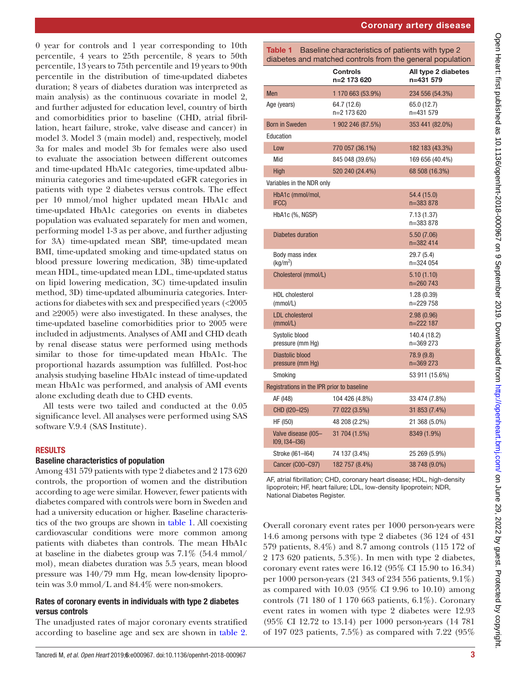0 year for controls and 1 year corresponding to 10th percentile, 4 years to 25th percentile, 8 years to 50th percentile, 13 years to 75th percentile and 19 years to 90th percentile in the distribution of time-updated diabetes duration; 8 years of diabetes duration was interpreted as main analysis) as the continuous covariate in model 2, and further adjusted for education level, country of birth and comorbidities prior to baseline (CHD, atrial fibrillation, heart failure, stroke, valve disease and cancer) in model 3. Model 3 (main model) and, respectively, model 3a for males and model 3b for females were also used to evaluate the association between different outcomes and time-updated HbA1c categories, time-updated albuminuria categories and time-updated eGFR categories in patients with type 2 diabetes versus controls. The effect per 10 mmol/mol higher updated mean HbA1c and time-updated HbA1c categories on events in diabetes population was evaluated separately for men and women, performing model 1-3 as per above, and further adjusting for 3A) time-updated mean SBP, time-updated mean BMI, time-updated smoking and time-updated status on blood pressure lowering medication, 3B) time-updated mean HDL, time-updated mean LDL, time-updated status on lipid lowering medication, 3C) time-updated insulin method, 3D) time-updated albuminuria categories. Interactions for diabetes with sex and prespecified years (<2005 and ≥2005) were also investigated. In these analyses, the time-updated baseline comorbidities prior to 2005 were included in adjustments. Analyses of AMI and CHD death by renal disease status were performed using methods similar to those for time-updated mean HbA1c. The proportional hazards assumption was fulfilled. Post-hoc analysis studying baseline HbA1c instead of time-updated mean HbA1c was performed, and analysis of AMI events alone excluding death due to CHD events.

All tests were two tailed and conducted at the 0.05 significance level. All analyses were performed using SAS software V.9.4 (SAS Institute).

# **RESULTS**

# Baseline characteristics of population

Among 431 579 patients with type 2 diabetes and 2 173 620 controls, the proportion of women and the distribution according to age were similar. However, fewer patients with diabetes compared with controls were born in Sweden and had a university education or higher. Baseline characteristics of the two groups are shown in [table](#page-2-0) 1. All coexisting cardiovascular conditions were more common among patients with diabetes than controls. The mean HbA1c at baseline in the diabetes group was 7.1% (54.4 mmol/ mol), mean diabetes duration was 5.5 years, mean blood pressure was 140/79 mm Hg, mean low-density lipoprotein was 3.0 mmol/L and 84.4% were non-smokers.

# Rates of coronary events in individuals with type 2 diabetes versus controls

The unadjusted rates of major coronary events stratified according to baseline age and sex are shown in [table](#page-3-0) 2.

# Coronary artery disease

<span id="page-2-0"></span>

|  | <b>Table 1</b> Baseline characteristics of patients with type 2 |  |  |
|--|-----------------------------------------------------------------|--|--|
|  | diabetes and matched controls from the general population       |  |  |

|                                            | <b>Controls</b><br>n=2 173 620 | All type 2 diabetes<br>n=431 579 |
|--------------------------------------------|--------------------------------|----------------------------------|
| <b>Men</b>                                 | 1 170 663 (53.9%)              | 234 556 (54.3%)                  |
| Age (years)                                | 64.7 (12.6)<br>$n=2$ 173 620   | 65.0 (12.7)<br>$n=431579$        |
| <b>Born in Sweden</b>                      | 1 902 246 (87.5%)              | 353 441 (82.0%)                  |
| Education                                  |                                |                                  |
| Low                                        | 770 057 (36.1%)                | 182 183 (43.3%)                  |
| Mid                                        | 845 048 (39.6%)                | 169 656 (40.4%)                  |
| High                                       | 520 240 (24.4%)                | 68 508 (16.3%)                   |
| Variables in the NDR only                  |                                |                                  |
| HbA1c (mmol/mol,<br>IFCC)                  |                                | 54.4 (15.0)<br>$n = 383878$      |
| HbA1c (%, NGSP)                            |                                | 7.13 (1.37)<br>n=383878          |
| <b>Diabetes duration</b>                   |                                | 5.50(7.06)<br>$n = 382414$       |
| Body mass index<br>(kg/m <sup>2</sup> )    |                                | 29.7 (5.4)<br>$n = 324054$       |
| Cholesterol (mmol/L)                       |                                | 5.10(1.10)<br>$n = 260743$       |
| <b>HDL</b> cholesterol<br>(mmol/L)         |                                | 1.28(0.39)<br>n=229 758          |
| <b>LDL</b> cholesterol<br>(mmol/L)         |                                | 2.98(0.96)<br>$n=222187$         |
| Systolic blood<br>pressure (mm Hg)         |                                | 140.4 (18.2)<br>$n = 369273$     |
| <b>Diastolic blood</b><br>pressure (mm Hg) |                                | 78.9 (9.8)<br>$n = 369273$       |
| Smoking                                    |                                | 53 911 (15.6%)                   |
| Registrations in the IPR prior to baseline |                                |                                  |
| AF (148)                                   | 104 426 (4.8%)                 | 33 474 (7.8%)                    |
| CHD (I20-I25)                              | 77 022 (3.5%)                  | 31 853 (7.4%)                    |
| HF (150)                                   | 48 208 (2.2%)                  | 21 368 (5.0%)                    |
| Valve disease (I05-<br>109, 134-136)       | 31 704 (1.5%)                  | 8349 (1.9%)                      |
| Stroke (I61-I64)                           | 74 137 (3.4%)                  | 25 269 (5.9%)                    |
| Cancer (C00-C97)                           | 182 757 (8.4%)                 | 38 748 (9.0%)                    |

AF, atrial fibrillation; CHD, coronary heart disease; HDL, high-density lipoprotein; HF, heart failure; LDL, low-density lipoprotein; NDR, National Diabetes Register.

Overall coronary event rates per 1000 person-years were 14.6 among persons with type 2 diabetes (36 124 of 431 579 patients, 8.4%) and 8.7 among controls (115 172 of 2 173 620 patients, 5.3%). In men with type 2 diabetes, coronary event rates were 16.12 (95% CI 15.90 to 16.34) per 1000 person-years (21 343 of 234 556 patients, 9.1%) as compared with 10.03 (95% CI 9.96 to 10.10) among controls (71 180 of 1 170 663 patients, 6.1%). Coronary event rates in women with type 2 diabetes were 12.93 (95% CI 12.72 to 13.14) per 1000 person-years (14 781 of 197 023 patients, 7.5%) as compared with 7.22 (95%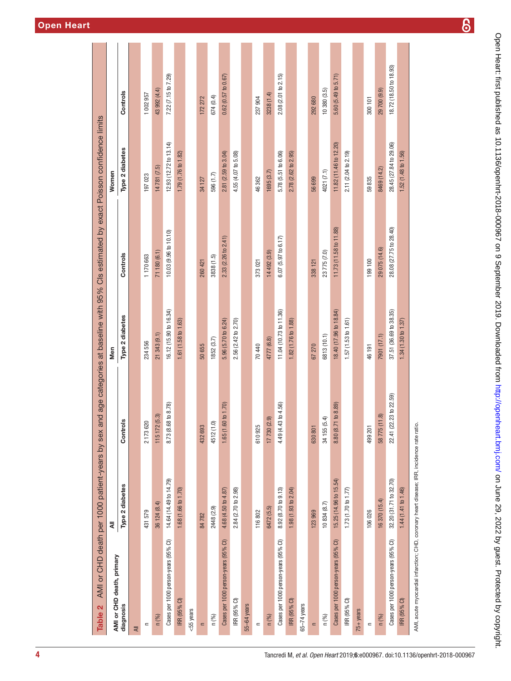<span id="page-3-0"></span>

| Table 2                                                                                   |                        |                                   |                        | AMI or CHD death per 1000 patient-years by sex and age categories at baseline with 95% CIs estimated by exact Poisson confidence limits |                        |                        |
|-------------------------------------------------------------------------------------------|------------------------|-----------------------------------|------------------------|-----------------------------------------------------------------------------------------------------------------------------------------|------------------------|------------------------|
| AMI or CHD death, primary                                                                 | ₹                      |                                   | Men                    |                                                                                                                                         | Women                  |                        |
| diagnosis                                                                                 | Type 2 diabetes        | trols<br>ج<br>S                   | Type 2 diabetes        | Controls                                                                                                                                | Type 2 diabetes        | Controls               |
| ₹                                                                                         |                        |                                   |                        |                                                                                                                                         |                        |                        |
| $\equiv$                                                                                  | 431 579                | 620<br>2173                       | 234 556                | 1170663                                                                                                                                 | 197023                 | 1 002 957              |
| n (%)                                                                                     | 36 124 (8.4)           | 115 172 (5.3)                     | 21 343 (9.1)           | 71 180 (6.1)                                                                                                                            | 14781 (7.5)            | 43 992 (4.4)           |
| Cases per 1000 person-years (95% Cl)                                                      | 14.64 (14.49 to 14.79) | $(8.68 \text{ to } 8.78)$<br>8.73 | 16.12 (15.90 to 16.34) | 10.03 (9.96 to 10.10)                                                                                                                   | 12.93 (12.72 to 13.14) | 7.22 (7.15 to 7.29)    |
| IRR (95% CI)                                                                              | 1.68 (1.66 to 1.70)    |                                   | 1.61 (1.58 to 1.63)    |                                                                                                                                         | 1.79 (1.76 to 1.82)    |                        |
| <55 years                                                                                 |                        |                                   |                        |                                                                                                                                         |                        |                        |
| $\equiv$                                                                                  | 84782                  | 432 693                           | 50 655                 | 260 421                                                                                                                                 | 34127                  | 172272                 |
| n (%)                                                                                     | 2448 (2.9)             | 4512 (1.0)                        | 1852(3.7)              | 3838 (1.5)                                                                                                                              | 596 (1.7)              | 674 (0.4)              |
| Cases per 1000 person-years (95% Cl)                                                      | 4.68 (4.50 to 4.87)    | (1.60 t 0 1.70)<br>1.65           | 5.96 (5.70 to 6.24)    | 2.33 (2.26 to 2.41)                                                                                                                     | 2.81 (2.59 to 3.04)    | $0.62$ (0.57 to 0.67)  |
| IRR (95% CI)                                                                              | 2.84 (2.70 to 2.98)    |                                   | 2.56 (2.42 to 2.70)    |                                                                                                                                         | 4.55 (4.07 to 5.08)    |                        |
| 55-64 years                                                                               |                        |                                   |                        |                                                                                                                                         |                        |                        |
| $\equiv$                                                                                  | 116802                 | 610925                            | 70440                  | 373021                                                                                                                                  | 46362                  | 237904                 |
| n (%)                                                                                     | 6472(5.5)              | 17730 (2.9)                       | 4777 (6.8)             | 14 492 (3.9)                                                                                                                            | 1695(3.7)              | 3238 (1.4)             |
| Cases per 1000 person-years (95% Cl)                                                      | 8.92 (8.70 to 9.13)    | (4.43 to 4.56)<br>4.49            | 11.04 (10.73 to 11.36) | 6.07 (5.97 to 6.17)                                                                                                                     | 5.78 (5.51 to 6.06)    | 2.08 (2.01 to 2.15)    |
| IRR (95% CI)                                                                              | 1.98(1.93 to 2.04)     |                                   | 1.82 (1.76 to 1.88)    |                                                                                                                                         | 2.78 (2.62 to 2.95)    |                        |
| $65 - 74$ years                                                                           |                        |                                   |                        |                                                                                                                                         |                        |                        |
| $\equiv$                                                                                  | 123 969                | 630 801                           | 67270                  | 338 121                                                                                                                                 | 56 699                 | 292680                 |
| $n$ (%)                                                                                   | 10834 (8.7)            | 34 155 (5.4)                      | 6813 (10.1)            | 23775 (7.0)                                                                                                                             | 4021 (7.1)             | 10 380 (3.5)           |
| Cases per 1000 person-years (95% Cl)                                                      | 15.25 (14.96 to 15.54) | $(8.71 \text{ to } 8.89)$<br>8.80 | 18.40 (17.96 to 18.84) | 11.73 (11.58 to 11.88)                                                                                                                  | 11.82 (11.46 to 12.20) | 5.60 (5.49 to 5.71)    |
| IRR (95% CI)                                                                              | 1.73 (1.70 to 1.77)    |                                   | 1.57 (1.53 to 1.61)    |                                                                                                                                         | 2.11 (2.04 to 2.19)    |                        |
| $75+years$                                                                                |                        |                                   |                        |                                                                                                                                         |                        |                        |
| $\equiv$                                                                                  | 106026                 | 499 201                           | 46191                  | 199100                                                                                                                                  | 59835                  | 300 101                |
| n (%)                                                                                     | 16 370 (15.4)          | 58 775 (11.8)                     | 7901 (17.1)            | 29 075 (14.6)                                                                                                                           | 8469 (14.2)            | 29 700 (9.9)           |
| Cases per 1000 person-years (95% Cl)                                                      | 32.20 (31.71 to 32.70) | (22.23 to 22.59)<br>22.41         | 37.51 (36.69 to 38.35) | 28.08 (27.75 to 28.40)                                                                                                                  | 28.45 (27.84 to 29.06) | 18.72 (18.50 to 18.93) |
| IRR (95% CI)                                                                              | 1.44 (1.41 to 1.46)    |                                   | 1.34(1.30 to 1.37)     |                                                                                                                                         | 1.52 (1.48 to 1.56)    |                        |
| AMI, acute myocardial infarction; CHD, coronary heart disease; IRR, incidence rate ratio. |                        |                                   |                        |                                                                                                                                         |                        |                        |

 $\overline{6}$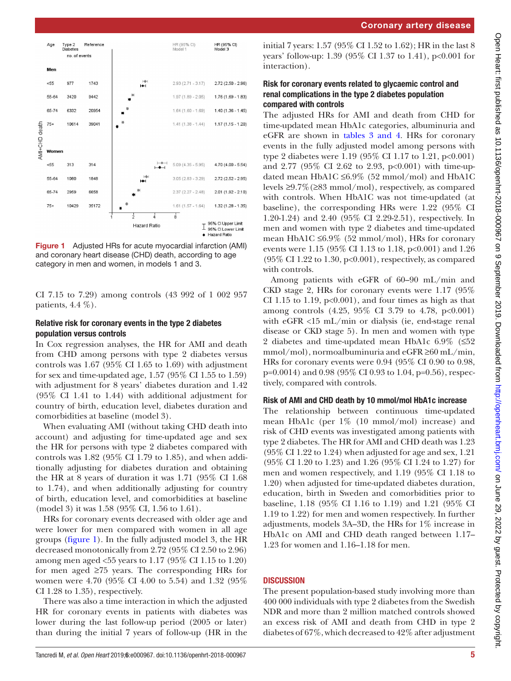





<span id="page-4-0"></span>Figure 1 Adjusted HRs for acute myocardial infarction (AMI) and coronary heart disease (CHD) death, according to age category in men and women, in models 1 and 3.

CI 7.15 to 7.29) among controls (43 992 of 1 002 957 patients,  $4.4\%$ ).

# Relative risk for coronary events in the type 2 diabetes population versus controls

In Cox regression analyses, the HR for AMI and death from CHD among persons with type 2 diabetes versus controls was  $1.67$  (95% CI 1.65 to 1.69) with adjustment for sex and time-updated age, 1.57 (95% CI 1.55 to 1.59) with adjustment for 8 years' diabetes duration and 1.42 (95% CI 1.41 to 1.44) with additional adjustment for country of birth, education level, diabetes duration and comorbidities at baseline (model 3).

When evaluating AMI (without taking CHD death into account) and adjusting for time-updated age and sex the HR for persons with type 2 diabetes compared with controls was 1.82 (95% CI 1.79 to 1.85), and when additionally adjusting for diabetes duration and obtaining the HR at 8 years of duration it was 1.71 (95% CI 1.68 to 1.74), and when additionally adjusting for country of birth, education level, and comorbidities at baseline (model 3) it was 1.58 (95% CI, 1.56 to 1.61).

HRs for coronary events decreased with older age and were lower for men compared with women in all age groups ([figure](#page-4-0) 1). In the fully adjusted model 3, the HR decreased monotonically from 2.72 (95% CI 2.50 to 2.96) among men aged <55 years to 1.17 (95% CI 1.15 to 1.20) for men aged ≥75 years. The corresponding HRs for women were 4.70 (95% CI 4.00 to 5.54) and 1.32 (95% CI 1.28 to 1.35), respectively.

There was also a time interaction in which the adjusted HR for coronary events in patients with diabetes was lower during the last follow-up period (2005 or later) than during the initial 7 years of follow-up (HR in the

initial 7 years: 1.57 (95% CI 1.52 to 1.62); HR in the last 8 years' follow-up: 1.39 (95% CI 1.37 to 1.41), p<0.001 for interaction).

# Risk for coronary events related to glycaemic control and renal complications in the type 2 diabetes population compared with controls

The adjusted HRs for AMI and death from CHD for time-updated mean HbA1c categories, albuminuria and eGFR are shown in tables [3 and 4.](#page-5-0) HRs for coronary events in the fully adjusted model among persons with type 2 diabetes were 1.19 (95% CI 1.17 to 1.21, p<0.001) and 2.77 (95% CI 2.62 to 2.93, p<0.001) with time-updated mean HbA1C  $\leq 6.9\%$  (52 mmol/mol) and HbA1C levels ≥9.7%(≥83 mmol/mol), respectively, as compared with controls. When HbA1C was not time-updated (at baseline), the corresponding HRs were 1.22 (95% CI 1.20-1.24) and 2.40 (95% CI 2.29-2.51), respectively. In men and women with type 2 diabetes and time-updated mean HbA1C  $\leq 6.9\%$  (52 mmol/mol), HRs for coronary events were 1.15 (95% CI 1.13 to 1.18, p<0.001) and 1.26  $(95\% \text{ CI } 1.22 \text{ to } 1.30, \text{ p} < 0.001)$ , respectively, as compared with controls.

Among patients with eGFR of 60–90 mL/min and CKD stage 2, HRs for coronary events were 1.17 (95% CI 1.15 to 1.19,  $p<0.001$ ), and four times as high as that among controls  $(4.25, 95\% \text{ CI } 3.79 \text{ to } 4.78, \text{ p} < 0.001)$ with eGFR <15 mL/min or dialysis (ie, end-stage renal disease or CKD stage 5). In men and women with type 2 diabetes and time-updated mean HbA1c 6.9% (≤52 mmol/mol), normoalbuminuria and eGFR ≥60 mL/min, HRs for coronary events were 0.94 (95% CI 0.90 to 0.98, p=0.0014) and 0.98 (95% CI 0.93 to 1.04, p=0.56), respectively, compared with controls.

# Risk of AMI and CHD death by 10 mmol/mol HbA1c increase

The relationship between continuous time-updated mean HbA1c (per 1% (10 mmol/mol) increase) and risk of CHD events was investigated among patients with type 2 diabetes. The HR for AMI and CHD death was 1.23 (95% CI 1.22 to 1.24) when adjusted for age and sex, 1.21 (95% CI 1.20 to 1.23) and 1.26 (95% CI 1.24 to 1.27) for men and women respectively, and 1.19 (95% CI 1.18 to 1.20) when adjusted for time-updated diabetes duration, education, birth in Sweden and comorbidities prior to baseline, 1.18 (95% CI 1.16 to 1.19) and 1.21 (95% CI 1.19 to 1.22) for men and women respectively. In further adjustments, models 3A–3D, the HRs for 1% increase in HbA1c on AMI and CHD death ranged between 1.17– 1.23 for women and 1.16–1.18 for men.

## **DISCUSSION**

The present population-based study involving more than 400 000 individuals with type 2 diabetes from the Swedish NDR and more than 2 million matched controls showed an excess risk of AMI and death from CHD in type 2 diabetes of 67%, which decreased to 42% after adjustment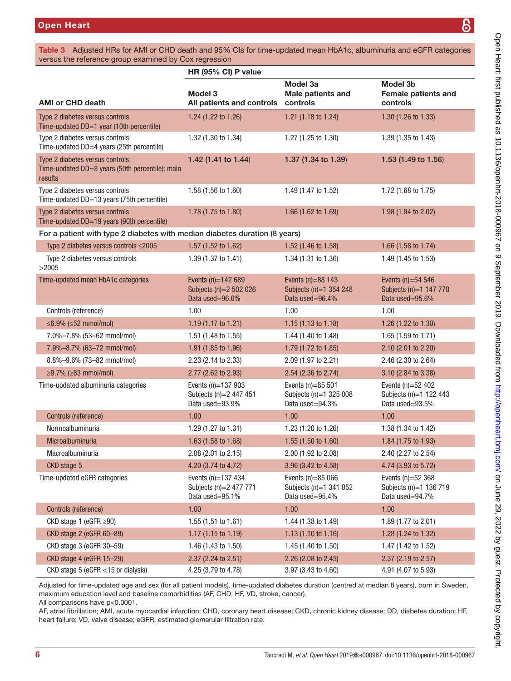<span id="page-5-0"></span>

|                                                                                               | HR (95% CI) P value                                                 |                                                                    |                                                                    |  |  |
|-----------------------------------------------------------------------------------------------|---------------------------------------------------------------------|--------------------------------------------------------------------|--------------------------------------------------------------------|--|--|
| <b>AMI or CHD death</b>                                                                       | Model 3<br>All patients and controls                                | Model 3a<br>Male patients and<br>controls                          | Model 3b<br><b>Female patients and</b><br>controls                 |  |  |
| Type 2 diabetes versus controls<br>Time-updated DD=1 year (10th percentile)                   | 1.24 (1.22 to 1.26)                                                 | 1.21 (1.18 to 1.24)                                                | 1.30 (1.26 to 1.33)                                                |  |  |
| Type 2 diabetes versus controls<br>Time-updated DD=4 years (25th percentile)                  | 1.32 (1.30 to 1.34)                                                 | 1.27 (1.25 to 1.30)                                                | $1.39(1.35 \text{ to } 1.43)$                                      |  |  |
| Type 2 diabetes versus controls<br>Time-updated DD=8 years (50th percentile): main<br>results | 1.42 (1.41 to 1.44)                                                 | 1.37 (1.34 to 1.39)                                                | 1.53 (1.49 to 1.56)                                                |  |  |
| Type 2 diabetes versus controls<br>Time-updated DD=13 years (75th percentile)                 | 1.58 (1.56 to 1.60)                                                 | 1.49 (1.47 to 1.52)                                                | 1.72 (1.68 to 1.75)                                                |  |  |
| Type 2 diabetes versus controls<br>Time-updated DD=19 years (90th percentile)                 | 1.78 (1.75 to 1.80)                                                 | 1.66 (1.62 to 1.69)                                                | 1.98 (1.94 to 2.02)                                                |  |  |
| For a patient with type 2 diabetes with median diabetes duration (8 years)                    |                                                                     |                                                                    |                                                                    |  |  |
| Type 2 diabetes versus controls ≤2005                                                         | 1.57 (1.52 to 1.62)                                                 | 1.52 (1.46 to 1.58)                                                | 1.66 (1.58 to 1.74)                                                |  |  |
| Type 2 diabetes versus controls<br>>2005                                                      | 1.39 (1.37 to 1.41)                                                 | 1.34 (1.31 to 1.36)                                                | 1.49 $(1.45 \text{ to } 1.53)$                                     |  |  |
| Time-updated mean HbA1c categories                                                            | Events (n)=142 689<br>Subjects (n)=2 502 026<br>Data used=96.0%     | Events (n)=88 143<br>Subjects (n)=1 354 248<br>Data used=96.4%     | Events $(n) = 54546$<br>Subjects (n)=1 147 778<br>Data used=95.6%  |  |  |
| Controls (reference)                                                                          | 1.00                                                                | 1.00                                                               | 1.00                                                               |  |  |
| $\leq 6.9\%$ ( $\leq 52$ mmol/mol)                                                            | 1.19 (1.17 to 1.21)                                                 | 1.15 (1.13 to 1.18)                                                | 1.26 (1.22 to 1.30)                                                |  |  |
| 7.0%-7.8% (53-62 mmol/mol)                                                                    | 1.51 $(1.48 \text{ to } 1.55)$                                      | 1.44 (1.40 to 1.48)                                                | 1.65 $(1.59 \text{ to } 1.71)$                                     |  |  |
| 7.9%-8.7% (63-72 mmol/mol)                                                                    | 1.91 (1.85 to 1.96)                                                 | 1.79 (1.72 to 1.85)                                                | 2.10 (2.01 to 2.20)                                                |  |  |
| 8.8%-9.6% (73-82 mmol/mol)                                                                    | 2.23 (2.14 to 2.33)                                                 | 2.09 (1.97 to 2.21)                                                | 2.46 (2.30 to 2.64)                                                |  |  |
| $≥9.7\%$ ( $≥83$ mmol/mol)                                                                    | 2.77 (2.62 to 2.93)                                                 | 2.54 (2.36 to 2.74)                                                | 3.10 (2.84 to 3.38)                                                |  |  |
| Time-updated albuminuria categories                                                           | Events (n)=137 903<br>Subjects (n)=2 447 451<br>Data used=93.9%     | Events $(n) = 85,501$<br>Subjects (n)=1 325 008<br>Data used=94.3% | Events $(n) = 52,402$<br>Subjects (n)=1 122 443<br>Data used=93.5% |  |  |
| Controls (reference)                                                                          | 1.00                                                                | 1.00                                                               | 1.00                                                               |  |  |
| Normoalbuminuria                                                                              | 1.29 (1.27 to 1.31)                                                 | 1.23 (1.20 to 1.26)                                                | 1.38 (1.34 to 1.42)                                                |  |  |
| Microalbuminuria                                                                              | 1.63 (1.58 to 1.68)                                                 | 1.55 (1.50 to 1.60)                                                | 1.84 (1.75 to 1.93)                                                |  |  |
| Macroalbuminuria                                                                              | 2.08 (2.01 to 2.15)                                                 | 2.00 (1.92 to 2.08)                                                | 2.40 (2.27 to 2.54)                                                |  |  |
| CKD stage 5                                                                                   | 4.20 $(3.74 \text{ to } 4.72)$                                      | $3.96$ (3.42 to 4.58)                                              | 4.74 $(3.93 \text{ to } 5.72)$                                     |  |  |
| Time-updated eGFR categories                                                                  | Events $(n) = 137,434$<br>Subjects (n)=2 477 771<br>Data used=95.1% | Events $(n) = 85066$<br>Subjects (n)=1 341 052<br>Data used=95.4%  | Events $(n) = 52,368$<br>Subjects (n)=1 136 719<br>Data used=94.7% |  |  |
| Controls (reference)                                                                          | 1.00                                                                | 1.00                                                               | 1.00                                                               |  |  |
| CKD stage 1 (eGFR $\geq$ 90)                                                                  | 1.55 $(1.51$ to 1.61)                                               | 1.44 (1.38 to 1.49)                                                | 1.89 (1.77 to 2.01)                                                |  |  |
| CKD stage 2 (eGFR 60-89)                                                                      | 1.17 (1.15 to 1.19)                                                 | 1.13 $(1.10 \text{ to } 1.16)$                                     | 1.28 (1.24 to 1.32)                                                |  |  |
| CKD stage 3 (eGFR 30-59)                                                                      | 1.46 (1.43 to 1.50)                                                 | 1.45 $(1.40 \text{ to } 1.50)$                                     | 1.47 $(1.42 \text{ to } 1.52)$                                     |  |  |
| CKD stage 4 (eGFR 15-29)                                                                      | 2.37 (2.24 to 2.51)                                                 | 2.26 (2.08 to 2.45)                                                | 2.37 (2.19 to 2.57)                                                |  |  |
| CKD stage 5 (eGFR <15 or dialysis)                                                            | 4.25 (3.79 to 4.78)                                                 | 3.97 (3.43 to 4.60)                                                | 4.91 (4.07 to 5.93)                                                |  |  |

Adjusted for time-updated age and sex (for all patient models), time-updated diabetes duration (centred at median 8 years), born in Sweden, maximum education level and baseline comorbidities (AF, CHD, HF, VD, stroke, cancer). All comparisons have p<0.0001.

AF, atrial fibrillation; AMI, acute myocardial infarction; CHD, coronary heart disease; CKD, chronic kidney disease; DD, diabetes duration; HF, heart failure; VD, valve disease; eGFR, estimated glomerular filtration rate.

၆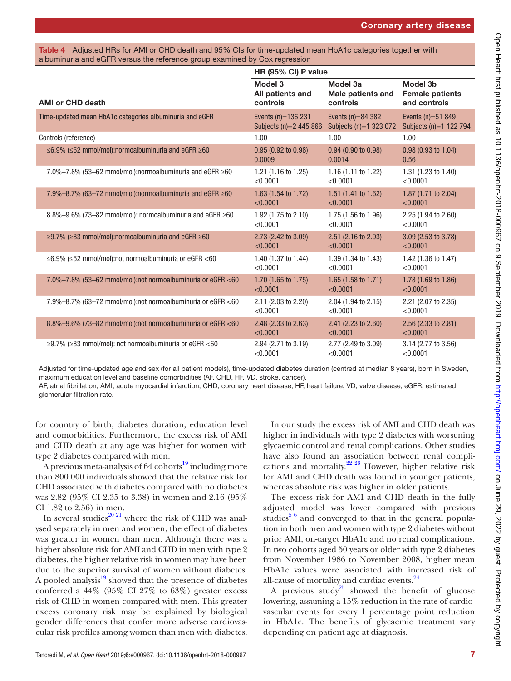Table 4 Adjusted HRs for AMI or CHD death and 95% CIs for time-updated mean HbA1c categories together with albuminuria and eGFR versus the reference group examined by Cox regression

|                                                                    | HR (95% CI) P value            |                        |                                |
|--------------------------------------------------------------------|--------------------------------|------------------------|--------------------------------|
| <b>AMI or CHD death</b>                                            | Model 3                        | Model 3a               | Model 3b                       |
|                                                                    | All patients and               | Male patients and      | <b>Female patients</b>         |
|                                                                    | controls                       | controls               | and controls                   |
| Time-updated mean HbA1c categories albuminuria and eGFR            | Events $(n) = 136231$          | Events $(n)=84.382$    | Events $(n)=51849$             |
|                                                                    | Subjects $(n)=2$ 445 866       | Subjects (n)=1 323 072 | Subjects (n)=1 122 794         |
| Controls (reference)                                               | 1.00                           | 1.00                   | 1.00                           |
| ≤6.9% (≤52 mmol/mol):normoalbuminuria and eGFR ≥60                 | $0.95(0.92 \text{ to } 0.98)$  | $0.94$ (0.90 to 0.98)  | $0.98(0.93 \text{ to } 1.04)$  |
|                                                                    | 0.0009                         | 0.0014                 | 0.56                           |
| 7.0%-7.8% (53-62 mmol/mol):normoalbuminuria and eGFR $\geq 60$     | 1.21 (1.16 to 1.25)            | 1.16(1.11 to 1.22)     | 1.31 $(1.23 \text{ to } 1.40)$ |
|                                                                    | < 0.0001                       | < 0.0001               | < 0.0001                       |
| 7.9%-8.7% (63-72 mmol/mol):normoalbuminuria and eGFR $\geq 60$     | 1.63 (1.54 to 1.72)            | 1.51 (1.41 to 1.62)    | 1.87 (1.71 to 2.04)            |
|                                                                    | < 0.0001                       | < 0.0001               | < 0.0001                       |
| 8.8%-9.6% (73-82 mmol/mol): normoalbuminuria and eGFR ≥60          | 1.92 (1.75 to 2.10)            | 1.75 (1.56 to 1.96)    | 2.25 (1.94 to 2.60)            |
|                                                                    | < 0.0001                       | < 0.0001               | < 0.0001                       |
| ≥9.7% (≥83 mmol/mol):normoalbuminuria and eGFR ≥60                 | 2.73 (2.42 to 3.09)            | $2.51$ (2.16 to 2.93)  | 3.09 (2.53 to 3.78)            |
|                                                                    | < 0.0001                       | < 0.0001               | < 0.0001                       |
| $\leq$ 6.9% ( $\leq$ 52 mmol/mol):not normoalbuminuria or eGFR <60 | 1.40 (1.37 to 1.44)            | 1.39 (1.34 to 1.43)    | 1.42 (1.36 to 1.47)            |
|                                                                    | < 0.0001                       | < 0.0001               | < 0.0001                       |
| 7.0%-7.8% (53-62 mmol/mol):not normoalbuminuria or eGFR <60        | 1.70 $(1.65 \text{ to } 1.75)$ | 1.65 (1.58 to 1.71)    | 1.78 (1.69 to 1.86)            |
|                                                                    | < 0.0001                       | < 0.0001               | < 0.0001                       |
| 7.9%-8.7% (63-72 mmol/mol):not normoalbuminuria or eGFR <60        | 2.11 (2.03 to 2.20)            | 2.04 (1.94 to 2.15)    | 2.21 (2.07 to 2.35)            |
|                                                                    | < 0.0001                       | < 0.0001               | < 0.0001                       |
| 8.8%-9.6% (73-82 mmol/mol):not normoalbuminuria or eGFR <60        | 2.48 (2.33 to 2.63)            | $2.41$ (2.23 to 2.60)  | 2.56 (2.33 to 2.81)            |
|                                                                    | < 0.0001                       | < 0.0001               | < 0.0001                       |
| ≥9.7% (≥83 mmol/mol): not normoalbuminuria or eGFR <60             | 2.94 (2.71 to 3.19)            | 2.77 (2.49 to 3.09)    | 3.14 (2.77 to 3.56)            |
|                                                                    | < 0.0001                       | < 0.0001               | < 0.0001                       |

Adjusted for time-updated age and sex (for all patient models), time-updated diabetes duration (centred at median 8 years), born in Sweden, maximum education level and baseline comorbidities (AF, CHD, HF, VD, stroke, cancer).

AF, atrial fibrillation; AMI, acute myocardial infarction; CHD, coronary heart disease; HF, heart failure; VD, valve disease; eGFR, estimated glomerular filtration rate.

for country of birth, diabetes duration, education level and comorbidities. Furthermore, the excess risk of AMI and CHD death at any age was higher for women with type 2 diabetes compared with men.

A previous meta-analysis of  $64$  cohorts<sup>19</sup> including more than 800 000 individuals showed that the relative risk for CHD associated with diabetes compared with no diabetes was 2.82 (95% CI 2.35 to 3.38) in women and 2.16 (95% CI 1.82 to 2.56) in men.

In several studies $^{20\ 21}$  where the risk of CHD was analysed separately in men and women, the effect of diabetes was greater in women than men. Although there was a higher absolute risk for AMI and CHD in men with type 2 diabetes, the higher relative risk in women may have been due to the superior survival of women without diabetes. A pooled analysis $^{19}$  showed that the presence of diabetes conferred a  $44\%$  (95% CI  $27\%$  to 63%) greater excess risk of CHD in women compared with men. This greater excess coronary risk may be explained by biological gender differences that confer more adverse cardiovascular risk profiles among women than men with diabetes.

In our study the excess risk of AMI and CHD death was higher in individuals with type 2 diabetes with worsening glycaemic control and renal complications. Other studies have also found an association between renal compli-cations and mortality.<sup>[22 23](#page-8-19)</sup> However, higher relative risk for AMI and CHD death was found in younger patients, whereas absolute risk was higher in older patients.

The excess risk for AMI and CHD death in the fully adjusted model was lower compared with previous studies<sup>[5 6](#page-8-4)</sup> and converged to that in the general population in both men and women with type 2 diabetes without prior AMI, on-target HbA1c and no renal complications. In two cohorts aged 50 years or older with type 2 diabetes from November 1986 to November 2008, higher mean HbA1c values were associated with increased risk of all-cause of mortality and cardiac events.<sup>24</sup>

A previous study<sup>25</sup> showed the benefit of glucose lowering, assuming a 15% reduction in the rate of cardiovascular events for every 1 percentage point reduction in HbA1c. The benefits of glycaemic treatment vary depending on patient age at diagnosis.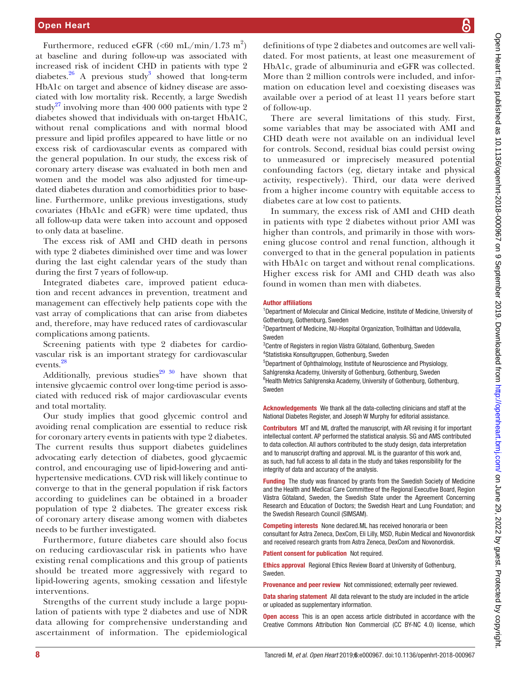Furthermore, reduced eGFR  $(**60** mL/min/1.73 m<sup>2</sup>)$ at baseline and during follow-up was associated with increased risk of incident CHD in patients with type 2 diabetes. $26$  A previous study<sup>[3](#page-8-2)</sup> showed that long-term HbA1c on target and absence of kidney disease are associated with low mortality risk. Recently, a large Swedish study<sup>27</sup> involving more than 400 000 patients with type 2 diabetes showed that individuals with on-target HbA1C, without renal complications and with normal blood pressure and lipid profiles appeared to have little or no excess risk of cardiovascular events as compared with the general population. In our study, the excess risk of coronary artery disease was evaluated in both men and women and the model was also adjusted for time-updated diabetes duration and comorbidities prior to baseline. Furthermore, unlike previous investigations, study covariates (HbA1c and eGFR) were time updated, thus all follow-up data were taken into account and opposed to only data at baseline.

The excess risk of AMI and CHD death in persons with type 2 diabetes diminished over time and was lower during the last eight calendar years of the study than during the first 7 years of follow-up.

Integrated diabetes care, improved patient education and recent advances in prevention, treatment and management can effectively help patients cope with the vast array of complications that can arise from diabetes and, therefore, may have reduced rates of cardiovascular complications among patients.

Screening patients with type 2 diabetes for cardiovascular risk is an important strategy for cardiovascular events.<sup>28</sup>

Additionally, previous studies $2930$  have shown that intensive glycaemic control over long-time period is associated with reduced risk of major cardiovascular events and total mortality.

Our study implies that good glycemic control and avoiding renal complication are essential to reduce risk for coronary artery events in patients with type 2 diabetes. The current results thus support diabetes guidelines advocating early detection of diabetes, good glycaemic control, and encouraging use of lipid-lowering and antihypertensive medications. CVD risk will likely continue to converge to that in the general population if risk factors according to guidelines can be obtained in a broader population of type 2 diabetes. The greater excess risk of coronary artery disease among women with diabetes needs to be further investigated.

Furthermore, future diabetes care should also focus on reducing cardiovascular risk in patients who have existing renal complications and this group of patients should be treated more aggressively with regard to lipid-lowering agents, smoking cessation and lifestyle interventions.

Strengths of the current study include a large population of patients with type 2 diabetes and use of NDR data allowing for comprehensive understanding and ascertainment of information. The epidemiological

definitions of type 2 diabetes and outcomes are well validated. For most patients, at least one measurement of HbA1c, grade of albuminuria and eGFR was collected. More than 2 million controls were included, and information on education level and coexisting diseases was available over a period of at least 11 years before start of follow-up.

There are several limitations of this study. First, some variables that may be associated with AMI and CHD death were not available on an individual level for controls. Second, residual bias could persist owing to unmeasured or imprecisely measured potential confounding factors (eg, dietary intake and physical activity, respectively). Third, our data were derived from a higher income country with equitable access to diabetes care at low cost to patients.

In summary, the excess risk of AMI and CHD death in patients with type 2 diabetes without prior AMI was higher than controls, and primarily in those with worsening glucose control and renal function, although it converged to that in the general population in patients with HbA1c on target and without renal complications. Higher excess risk for AMI and CHD death was also found in women than men with diabetes.

#### Author affiliations

<sup>1</sup>Department of Molecular and Clinical Medicine, Institute of Medicine, University of Gothenburg, Gothenburg, Sweden

2 Department of Medicine, NU-Hospital Organization, Trollhättan and Uddevalla, Sweden

<sup>3</sup>Centre of Registers in region Västra Götaland, Gothenburg, Sweden 4 Statistiska Konsultgruppen, Gothenburg, Sweden

5 Department of Ophthalmology, Institute of Neuroscience and Physiology, Sahlgrenska Academy, University of Gothenburg, Gothenburg, Sweden <sup>6</sup>Health Metrics Sahlgrenska Academy, University of Gothenburg, Gothenburg, Sweden

Acknowledgements We thank all the data-collecting clinicians and staff at the National Diabetes Register, and Joseph W Murphy for editorial assistance.

Contributors MT and ML drafted the manuscript, with AR revising it for important intellectual content. AP performed the statistical analysis. SG and AMS contributed to data collection. All authors contributed to the study design, data interpretation and to manuscript drafting and approval. ML is the guarantor of this work and, as such, had full access to all data in the study and takes responsibility for the integrity of data and accuracy of the analysis.

Funding The study was financed by grants from the Swedish Society of Medicine and the Health and Medical Care Committee of the Regional Executive Board, Region Västra Götaland, Sweden, the Swedish State under the Agreement Concerning Research and Education of Doctors; the Swedish Heart and Lung Foundation; and the Swedish Research Council (SIMSAM).

Competing interests None declared.ML has received honoraria or been consultant for Astra Zeneca, DexCom, Eli Lilly, MSD, Rubin Medical and Novonordisk and received research grants from Astra Zeneca, DexCom and Novonordisk.

Patient consent for publication Not required.

Ethics approval Regional Ethics Review Board at University of Gothenburg, Sweden.

Provenance and peer review Not commissioned; externally peer reviewed.

Data sharing statement All data relevant to the study are included in the article or uploaded as supplementary information.

Open access This is an open access article distributed in accordance with the Creative Commons Attribution Non Commercial (CC BY-NC 4.0) license, which